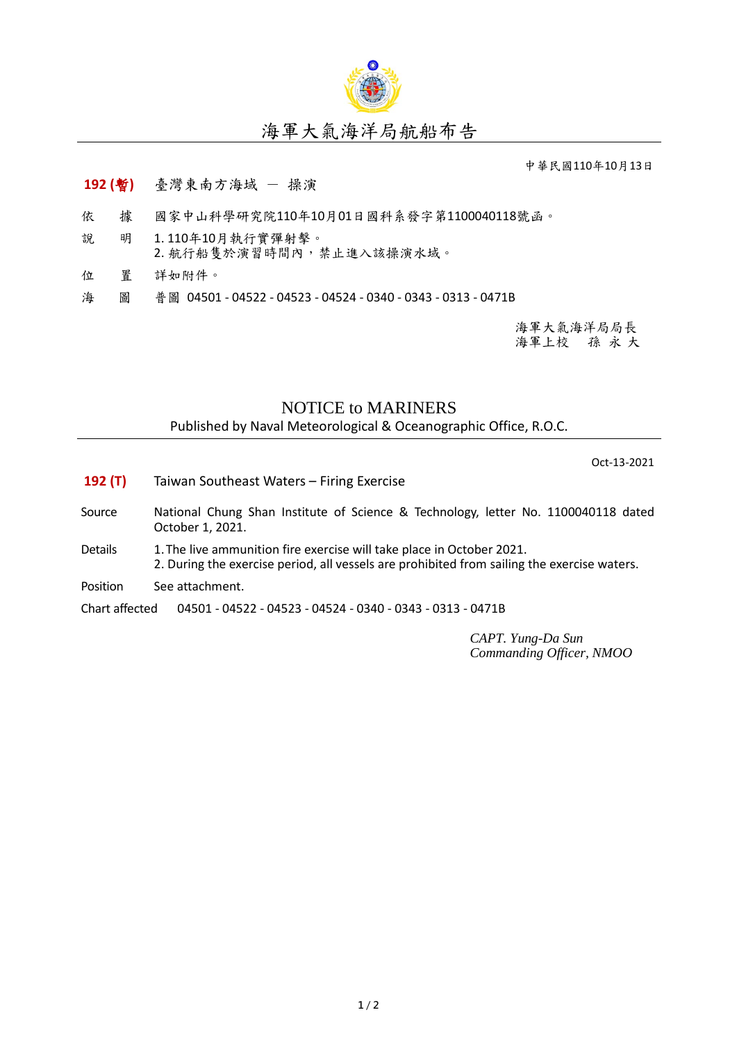

## 海軍大氣海洋局航船布告

中華民國110年10月13日

## **192 (**暫**)** 臺灣東南方海域 - 操演

- 依 據 國家中山科學研究院110年10月01日國科系發字第1100040118號函。
- 說 明 1. 110年10月執行實彈射擊。
- 2. 航行船隻於演習時間內,禁止進入該操演水域。
- 位 置 詳如附件。
- 海 圖 普圖 04501 04522 04523 04524 0340 0343 0313 0471B

海軍大氣海洋局局長 海軍上校 孫 永 大

## NOTICE to MARINERS

Published by Naval Meteorological & Oceanographic Office, R.O.C.

Oct-13-2021

- **192 (T)** Taiwan Southeast Waters Firing Exercise
- Source National Chung Shan Institute of Science & Technology, letter No. 1100040118 dated October 1, 2021.
- Details 1. The live ammunition fire exercise will take place in October 2021. 2. During the exercise period, all vessels are prohibited from sailing the exercise waters.
- Position See attachment.

Chart affected 04501 - 04522 - 04523 - 04524 - 0340 - 0343 - 0313 - 0471B

*CAPT. Yung-Da Sun Commanding Officer, NMOO*